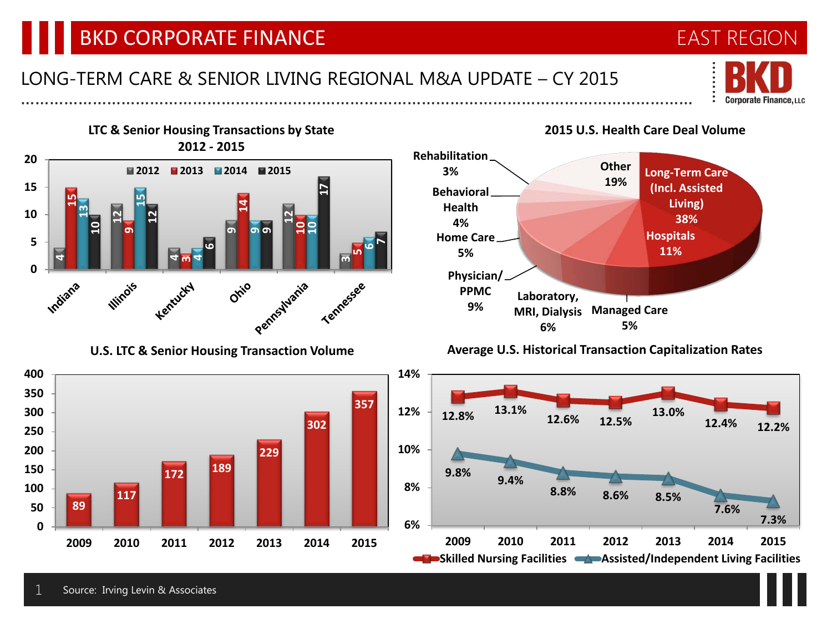# BKD CORPORATE FINANCE

### LONG-TERM CARE & SENIOR LIVING REGIONAL M&A UPDATE – CY 2015 ……………………………………………………………………………………………………………………………



EAST REGION



**U.S. LTC & Senior Housing Transaction Volume**





#### **Average U.S. Historical Transaction Capitalization Rates**



### **2015 U.S. Health Care Deal Volume**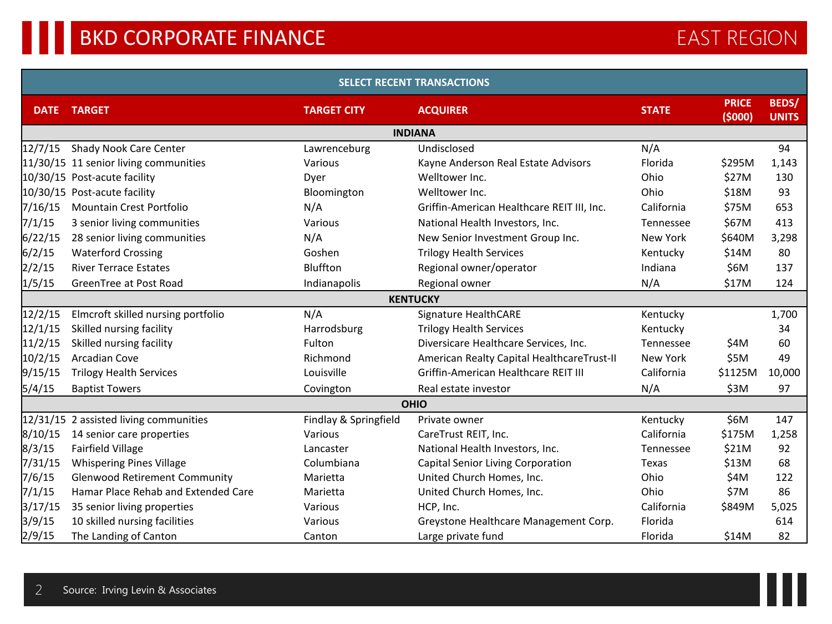| <b>SELECT RECENT TRANSACTIONS</b> |                                          |                       |                                            |              |                        |                              |  |  |  |  |  |
|-----------------------------------|------------------------------------------|-----------------------|--------------------------------------------|--------------|------------------------|------------------------------|--|--|--|--|--|
| <b>DATE</b>                       | <b>TARGET</b>                            | <b>TARGET CITY</b>    | <b>ACQUIRER</b>                            | <b>STATE</b> | <b>PRICE</b><br>(5000) | <b>BEDS/</b><br><b>UNITS</b> |  |  |  |  |  |
|                                   |                                          |                       | <b>INDIANA</b>                             |              |                        |                              |  |  |  |  |  |
| 12/7/15                           | Shady Nook Care Center                   | Lawrenceburg          | Undisclosed                                | N/A          |                        | 94                           |  |  |  |  |  |
|                                   | 11/30/15 11 senior living communities    | Various               | Kayne Anderson Real Estate Advisors        | Florida      | \$295M                 | 1,143                        |  |  |  |  |  |
|                                   | 10/30/15 Post-acute facility             | Dyer                  | Welltower Inc.                             | Ohio         | \$27M                  | 130                          |  |  |  |  |  |
|                                   | 10/30/15 Post-acute facility             | Bloomington           | Welltower Inc.                             | Ohio         | \$18M                  | 93                           |  |  |  |  |  |
| 7/16/15                           | <b>Mountain Crest Portfolio</b>          | N/A                   | Griffin-American Healthcare REIT III, Inc. | California   | \$75M                  | 653                          |  |  |  |  |  |
| 7/1/15                            | 3 senior living communities              | Various               | National Health Investors, Inc.            | Tennessee    | \$67M                  | 413                          |  |  |  |  |  |
| 6/22/15                           | 28 senior living communities             | N/A                   | New Senior Investment Group Inc.           | New York     | \$640M                 | 3,298                        |  |  |  |  |  |
| 6/2/15                            | <b>Waterford Crossing</b>                | Goshen                | <b>Trilogy Health Services</b>             | Kentucky     | \$14M                  | 80                           |  |  |  |  |  |
| 2/2/15                            | <b>River Terrace Estates</b>             | Bluffton              | Regional owner/operator                    | Indiana      | \$6M                   | 137                          |  |  |  |  |  |
| 1/5/15                            | GreenTree at Post Road                   | Indianapolis          | Regional owner                             | N/A          | \$17M                  | 124                          |  |  |  |  |  |
|                                   |                                          |                       | <b>KENTUCKY</b>                            |              |                        |                              |  |  |  |  |  |
| 12/2/15                           | Elmcroft skilled nursing portfolio       | N/A                   | Signature HealthCARE                       | Kentucky     |                        | 1,700                        |  |  |  |  |  |
| 12/1/15                           | Skilled nursing facility                 | Harrodsburg           | <b>Trilogy Health Services</b>             | Kentucky     |                        | 34                           |  |  |  |  |  |
| 11/2/15                           | Skilled nursing facility                 | Fulton                | Diversicare Healthcare Services, Inc.      | Tennessee    | \$4M                   | 60                           |  |  |  |  |  |
| 10/2/15                           | Arcadian Cove                            | Richmond              | American Realty Capital HealthcareTrust-II | New York     | \$5M                   | 49                           |  |  |  |  |  |
| 9/15/15                           | <b>Trilogy Health Services</b>           | Louisville            | Griffin-American Healthcare REIT III       | California   | \$1125M                | 10,000                       |  |  |  |  |  |
| 5/4/15                            | <b>Baptist Towers</b>                    | Covington             | Real estate investor                       | N/A          | \$3M                   | 97                           |  |  |  |  |  |
|                                   |                                          |                       | <b>OHIO</b>                                |              |                        |                              |  |  |  |  |  |
|                                   | $12/31/15$ 2 assisted living communities | Findlay & Springfield | Private owner                              | Kentucky     | \$6M                   | 147                          |  |  |  |  |  |
| 8/10/15                           | 14 senior care properties                | Various               | CareTrust REIT, Inc.                       | California   | \$175M                 | 1,258                        |  |  |  |  |  |
| 8/3/15                            | <b>Fairfield Village</b>                 | Lancaster             | National Health Investors, Inc.            | Tennessee    | \$21M                  | 92                           |  |  |  |  |  |
| 7/31/15                           | <b>Whispering Pines Village</b>          | Columbiana            | Capital Senior Living Corporation          | Texas        | \$13M                  | 68                           |  |  |  |  |  |
| 7/6/15                            | <b>Glenwood Retirement Community</b>     | Marietta              | United Church Homes, Inc.                  | Ohio         | \$4M                   | 122                          |  |  |  |  |  |
| 7/1/15                            | Hamar Place Rehab and Extended Care      | Marietta              | United Church Homes, Inc.                  | Ohio         | \$7M                   | 86                           |  |  |  |  |  |
| 3/17/15                           | 35 senior living properties              | Various               | HCP, Inc.                                  | California   | \$849M                 | 5,025                        |  |  |  |  |  |
| 3/9/15                            | 10 skilled nursing facilities            | Various               | Greystone Healthcare Management Corp.      | Florida      |                        | 614                          |  |  |  |  |  |
| 2/9/15                            | The Landing of Canton                    | Canton                | Large private fund                         | Florida      | \$14M                  | 82                           |  |  |  |  |  |